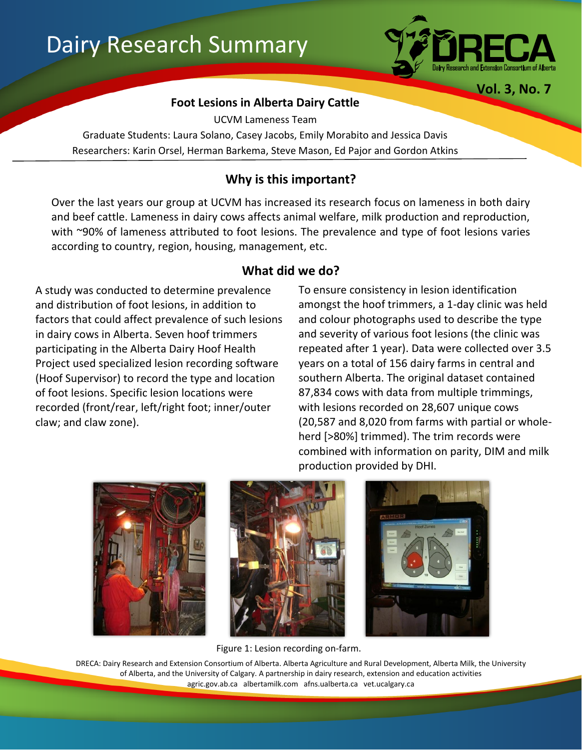

**Vol. 3, No. 7**

#### **Foot Lesions in Alberta Dairy Cattle**

UCVM Lameness Team

Graduate Students: Laura Solano, Casey Jacobs, Emily Morabito and Jessica Davis Researchers: Karin Orsel, Herman Barkema, Steve Mason, Ed Pajor and Gordon Atkins

## **Why is this important?**

Over the last years our group at UCVM has increased its research focus on lameness in both dairy and beef cattle. Lameness in dairy cows affects animal welfare, milk production and reproduction, with ~90% of lameness attributed to foot lesions. The prevalence and type of foot lesions varies according to country, region, housing, management, etc.

### A study was conducted to determine prevalence and distribution of foot lesions, in addition to factors that could affect prevalence of such lesions in dairy cows in Alberta. Seven hoof trimmers participating in the Alberta Dairy Hoof Health Project used specialized lesion recording software (Hoof Supervisor) to record the type and location of foot lesions. Specific lesion locations were recorded (front/rear, left/right foot; inner/outer

# **What did we do?**

To ensure consistency in lesion identification amongst the hoof trimmers, a 1-day clinic was held and colour photographs used to describe the type and severity of various foot lesions (the clinic was repeated after 1 year). Data were collected over 3.5 years on a total of 156 dairy farms in central and southern Alberta. The original dataset contained 87,834 cows with data from multiple trimmings, with lesions recorded on 28,607 unique cows (20,587 and 8,020 from farms with partial or wholeherd [>80%] trimmed). The trim records were combined with information on parity, DIM and milk production provided by DHI.



claw; and claw zone).





Figure 1: Lesion recording on-farm.

DRECA: Dairy Research and Extension Consortium of Alberta. Alberta Agriculture and Rural Development, Alberta Milk, the University of Alberta, and the University of Calgary. A partnership in dairy research, extension and education activities agric.gov.ab.ca albertamilk.com afns.ualberta.ca vet.ucalgary.ca